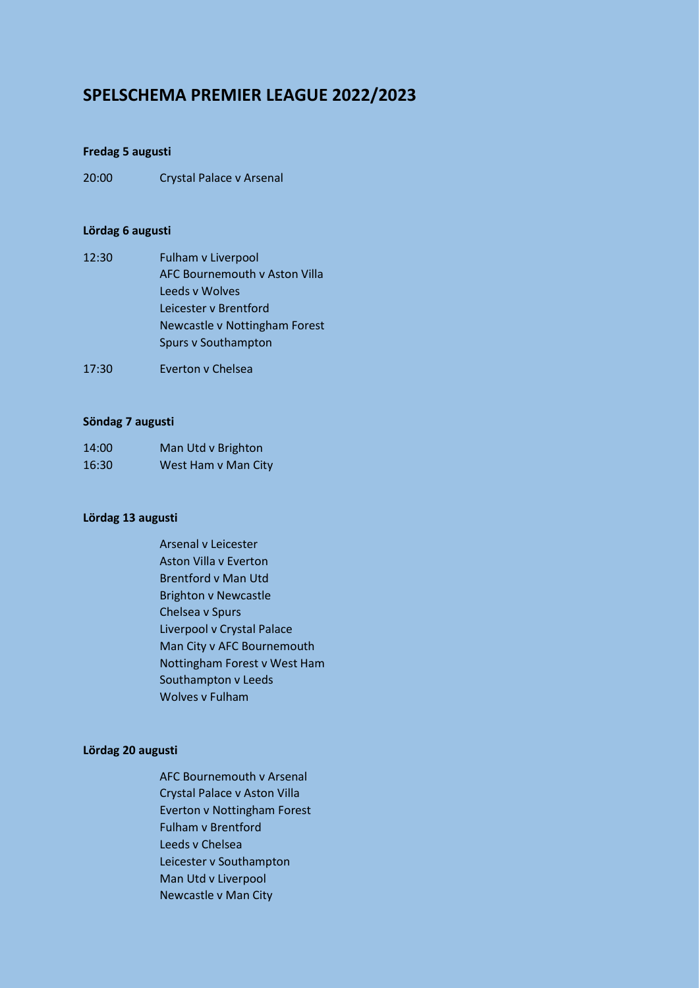# **SPELSCHEMA PREMIER LEAGUE 2022/2023**

### **Fredag 5 augusti**

20:00 Crystal Palace v Arsenal

# **Lördag 6 augusti**

- 12:30 Fulham v Liverpool AFC Bournemouth v Aston Villa Leeds v Wolves Leicester v Brentford Newcastle v Nottingham Forest Spurs v Southampton
- 17:30 Everton v Chelsea

### **Söndag 7 augusti**

| 14:00 | Man Utd v Brighton  |
|-------|---------------------|
| 16:30 | West Ham v Man City |

### **Lördag 13 augusti**

Arsenal v Leicester Aston Villa v Everton Brentford v Man Utd Brighton v Newcastle Chelsea v Spurs Liverpool v Crystal Palace Man City v AFC Bournemouth Nottingham Forest v West Ham Southampton v Leeds Wolves v Fulham

### **Lördag 20 augusti**

AFC Bournemouth v Arsenal Crystal Palace v Aston Villa Everton v Nottingham Forest Fulham v Brentford Leeds v Chelsea Leicester v Southampton Man Utd v Liverpool Newcastle v Man City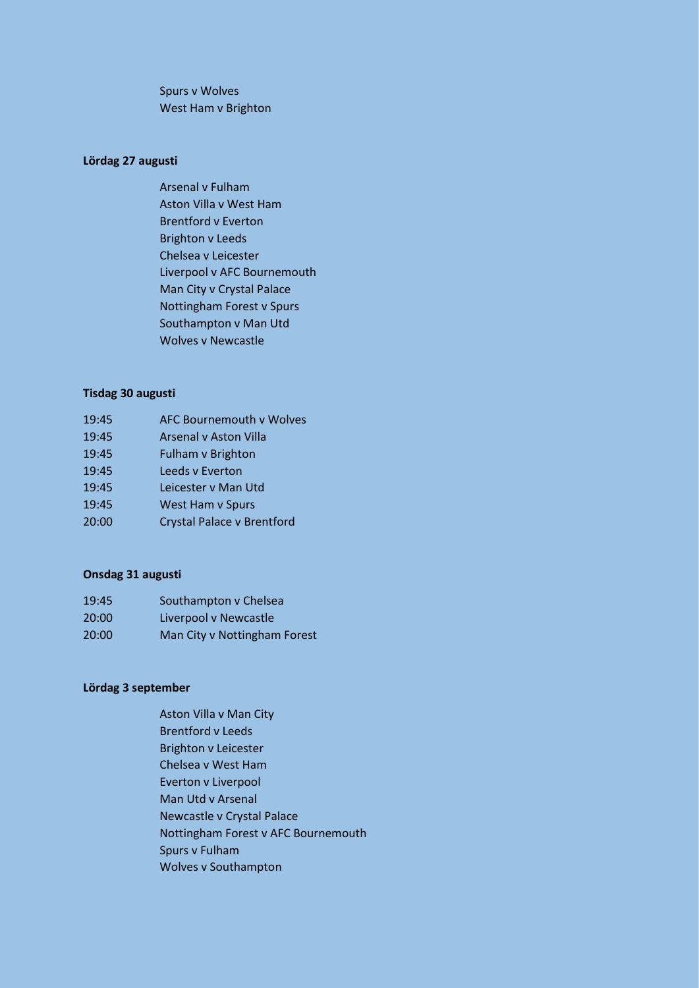Spurs v Wolves West Ham v Brighton

# **Lördag 27 augusti**

Arsenal v Fulham Aston Villa v West Ham Brentford v Everton Brighton v Leeds Chelsea v Leicester Liverpool v AFC Bournemouth Man City v Crystal Palace Nottingham Forest v Spurs Southampton v Man Utd Wolves v Newcastle

### **Tisdag 30 augusti**

| 19:45 | <b>AFC Bournemouth v Wolves</b>   |
|-------|-----------------------------------|
| 19:45 | <b>Arsenal v Aston Villa</b>      |
| 19:45 | <b>Fulham v Brighton</b>          |
| 19:45 | Leeds y Everton                   |
| 19:45 | Leicester v Man Utd               |
| 19:45 | West Ham v Spurs                  |
| 20:00 | <b>Crystal Palace v Brentford</b> |

### **Onsdag 31 augusti**

| 19:45 | Southampton v Chelsea        |
|-------|------------------------------|
| 20:00 | Liverpool v Newcastle        |
| 20:00 | Man City v Nottingham Forest |

# **Lördag 3 september**

Aston Villa v Man City Brentford v Leeds Brighton v Leicester Chelsea v West Ham Everton v Liverpool Man Utd v Arsenal Newcastle v Crystal Palace Nottingham Forest v AFC Bournemouth Spurs v Fulham Wolves v Southampton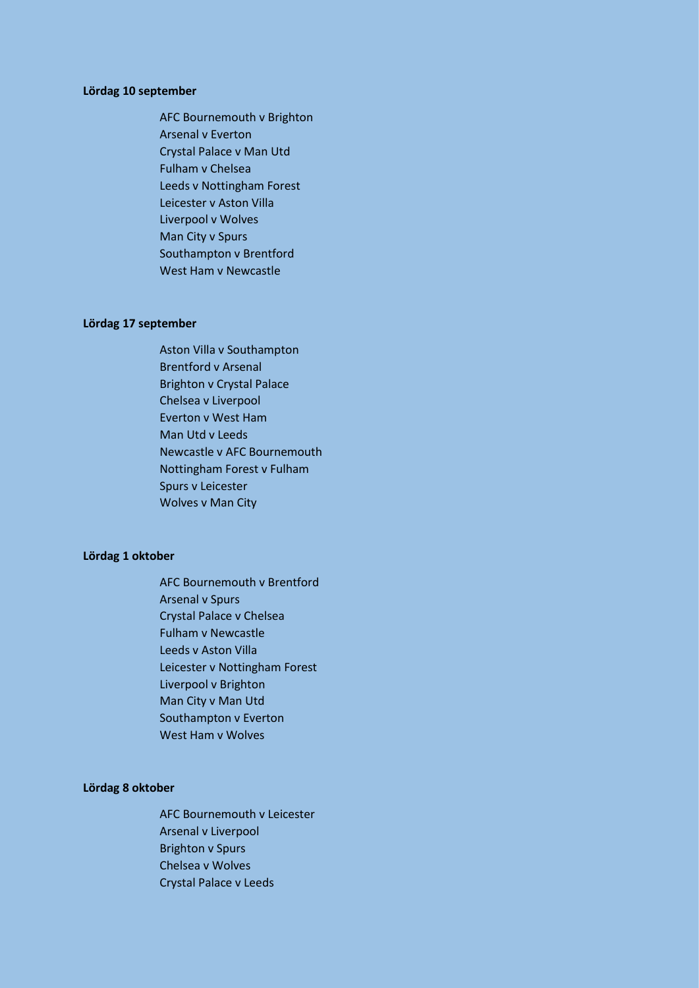### **Lördag 10 september**

AFC Bournemouth v Brighton Arsenal v Everton Crystal Palace v Man Utd Fulham v Chelsea Leeds v Nottingham Forest Leicester v Aston Villa Liverpool v Wolves Man City v Spurs Southampton v Brentford West Ham v Newcastle

#### **Lördag 17 september**

Aston Villa v Southampton Brentford v Arsenal Brighton v Crystal Palace Chelsea v Liverpool Everton v West Ham Man Utd v Leeds Newcastle v AFC Bournemouth Nottingham Forest v Fulham Spurs v Leicester Wolves v Man City

#### **Lördag 1 oktober**

AFC Bournemouth v Brentford Arsenal v Spurs Crystal Palace v Chelsea Fulham v Newcastle Leeds v Aston Villa Leicester v Nottingham Forest Liverpool v Brighton Man City v Man Utd Southampton v Everton West Ham v Wolves

#### **Lördag 8 oktober**

AFC Bournemouth v Leicester Arsenal v Liverpool Brighton v Spurs Chelsea v Wolves Crystal Palace v Leeds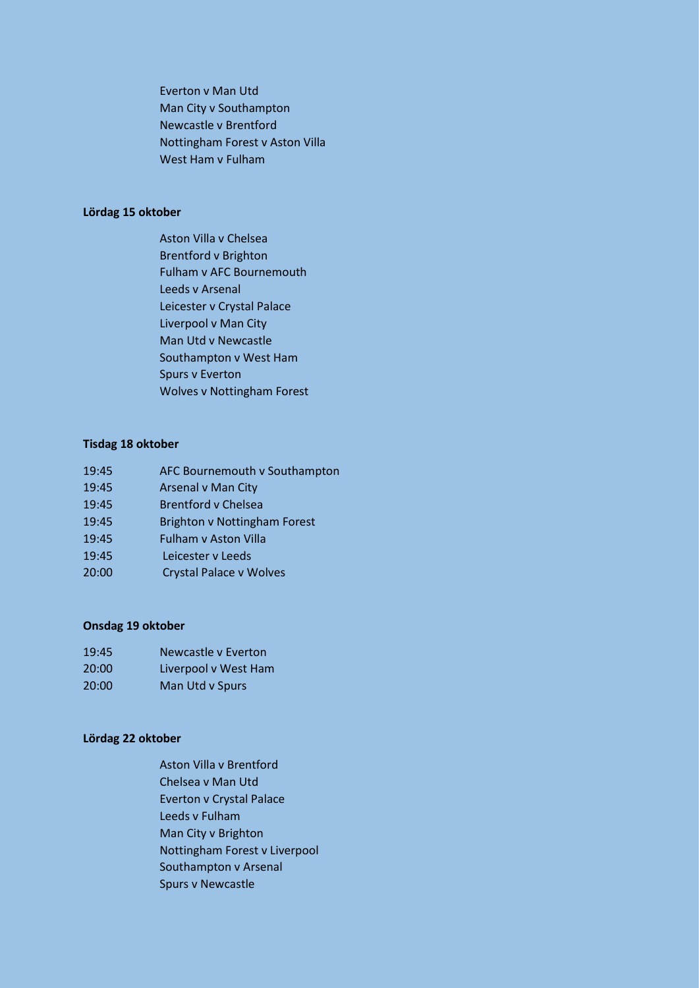Everton v Man Utd Man City v Southampton Newcastle v Brentford Nottingham Forest v Aston Villa West Ham v Fulham

# **Lördag 15 oktober**

Aston Villa v Chelsea Brentford v Brighton Fulham v AFC Bournemouth Leeds v Arsenal Leicester v Crystal Palace Liverpool v Man City Man Utd v Newcastle Southampton v West Ham Spurs v Everton Wolves v Nottingham Forest

# **Tisdag 18 oktober**

| 19:45 | AFC Bournemouth v Southampton       |
|-------|-------------------------------------|
| 19:45 | <b>Arsenal v Man City</b>           |
| 19:45 | <b>Brentford v Chelsea</b>          |
| 19:45 | <b>Brighton v Nottingham Forest</b> |
| 19:45 | <b>Fulham v Aston Villa</b>         |
| 19:45 | Leicester y Leeds                   |
| 20:00 | <b>Crystal Palace v Wolves</b>      |

### **Onsdag 19 oktober**

| 19:45 | Newcastle v Everton  |
|-------|----------------------|
| 20:00 | Liverpool v West Ham |
| 20:00 | Man Utd v Spurs      |

### **Lördag 22 oktober**

Aston Villa v Brentford Chelsea v Man Utd Everton v Crystal Palace Leeds v Fulham Man City v Brighton Nottingham Forest v Liverpool Southampton v Arsenal Spurs v Newcastle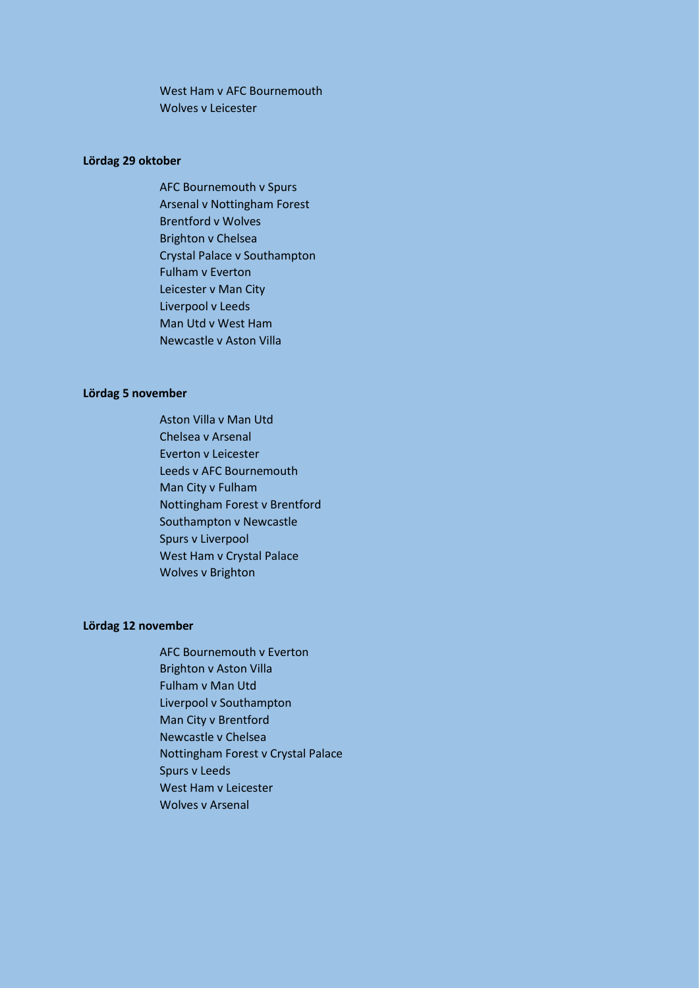West Ham v AFC Bournemouth Wolves v Leicester

### **Lördag 29 oktober**

AFC Bournemouth v Spurs Arsenal v Nottingham Forest Brentford v Wolves Brighton v Chelsea Crystal Palace v Southampton Fulham v Everton Leicester v Man City Liverpool v Leeds Man Utd v West Ham Newcastle v Aston Villa

### **Lördag 5 november**

Aston Villa v Man Utd Chelsea v Arsenal Everton v Leicester Leeds v AFC Bournemouth Man City v Fulham Nottingham Forest v Brentford Southampton v Newcastle Spurs v Liverpool West Ham v Crystal Palace Wolves v Brighton

### **Lördag 12 november**

AFC Bournemouth v Everton Brighton v Aston Villa Fulham v Man Utd Liverpool v Southampton Man City v Brentford Newcastle v Chelsea Nottingham Forest v Crystal Palace Spurs v Leeds West Ham v Leicester Wolves v Arsenal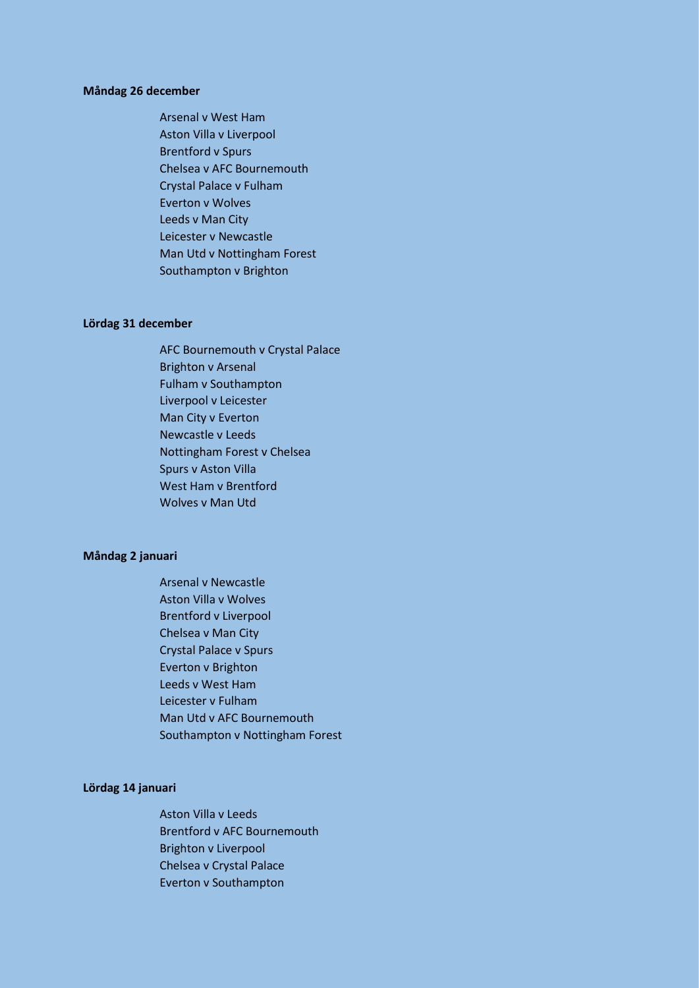#### **Måndag 26 december**

Arsenal v West Ham Aston Villa v Liverpool Brentford v Spurs Chelsea v AFC Bournemouth Crystal Palace v Fulham Everton v Wolves Leeds v Man City Leicester v Newcastle Man Utd v Nottingham Forest Southampton v Brighton

#### **Lördag 31 december**

AFC Bournemouth v Crystal Palace Brighton v Arsenal Fulham v Southampton Liverpool v Leicester Man City v Everton Newcastle v Leeds Nottingham Forest v Chelsea Spurs v Aston Villa West Ham v Brentford Wolves v Man Utd

#### **Måndag 2 januari**

Arsenal v Newcastle Aston Villa v Wolves Brentford v Liverpool Chelsea v Man City Crystal Palace v Spurs Everton v Brighton Leeds v West Ham Leicester v Fulham Man Utd v AFC Bournemouth Southampton v Nottingham Forest

#### **Lördag 14 januari**

Aston Villa v Leeds Brentford v AFC Bournemouth Brighton v Liverpool Chelsea v Crystal Palace Everton v Southampton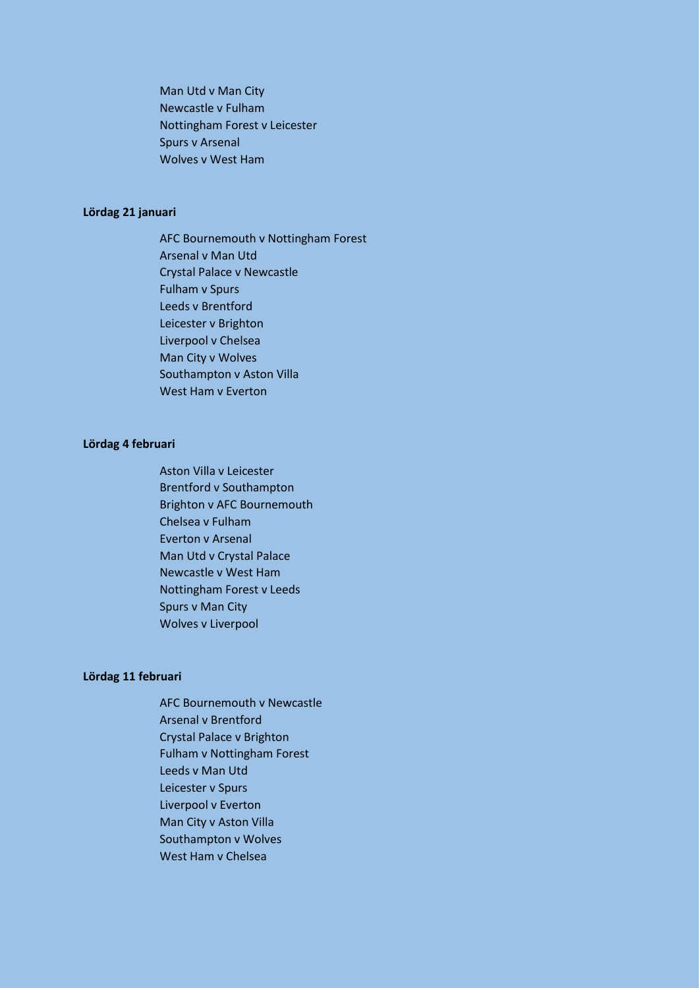Man Utd v Man City Newcastle v Fulham Nottingham Forest v Leicester Spurs v Arsenal Wolves v West Ham

# **Lördag 21 januari**

AFC Bournemouth v Nottingham Forest Arsenal v Man Utd Crystal Palace v Newcastle Fulham v Spurs Leeds v Brentford Leicester v Brighton Liverpool v Chelsea Man City v Wolves Southampton v Aston Villa West Ham v Everton

# **Lördag 4 februari**

Aston Villa v Leicester Brentford v Southampton Brighton v AFC Bournemouth Chelsea v Fulham Everton v Arsenal Man Utd v Crystal Palace Newcastle v West Ham Nottingham Forest v Leeds Spurs v Man City Wolves v Liverpool

### **Lördag 11 februari**

AFC Bournemouth v Newcastle Arsenal v Brentford Crystal Palace v Brighton Fulham v Nottingham Forest Leeds v Man Utd Leicester v Spurs Liverpool v Everton Man City v Aston Villa Southampton v Wolves West Ham v Chelsea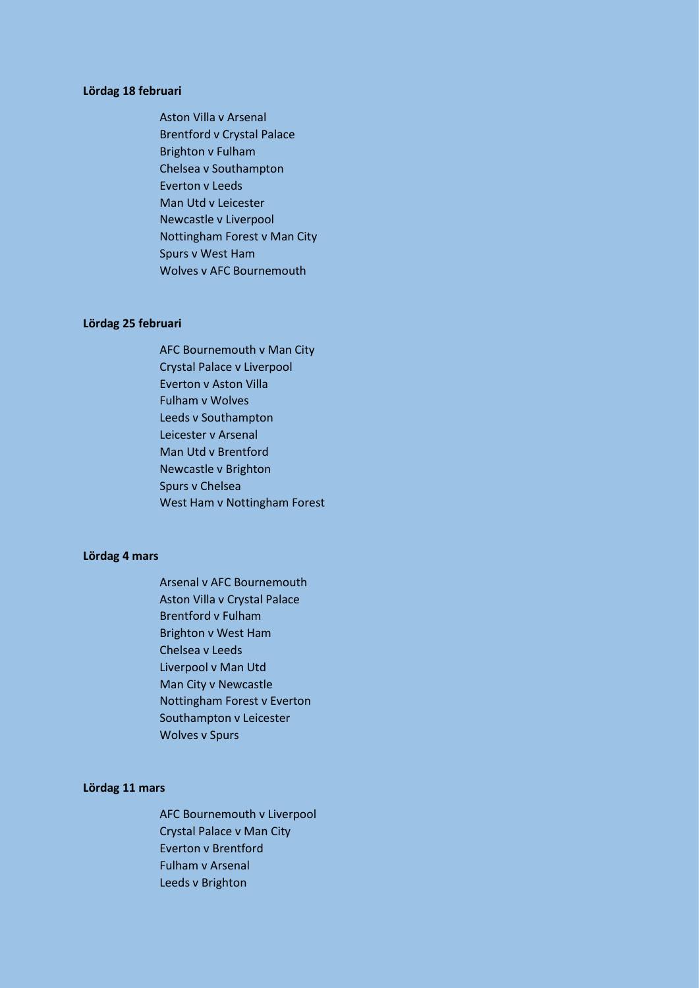### **Lördag 18 februari**

Aston Villa v Arsenal Brentford v Crystal Palace Brighton v Fulham Chelsea v Southampton Everton v Leeds Man Utd v Leicester Newcastle v Liverpool Nottingham Forest v Man City Spurs v West Ham Wolves v AFC Bournemouth

#### **Lördag 25 februari**

AFC Bournemouth v Man City Crystal Palace v Liverpool Everton v Aston Villa Fulham v Wolves Leeds v Southampton Leicester v Arsenal Man Utd v Brentford Newcastle v Brighton Spurs v Chelsea West Ham v Nottingham Forest

#### **Lördag 4 mars**

Arsenal v AFC Bournemouth Aston Villa v Crystal Palace Brentford v Fulham Brighton v West Ham Chelsea v Leeds Liverpool v Man Utd Man City v Newcastle Nottingham Forest v Everton Southampton v Leicester Wolves v Spurs

### **Lördag 11 mars**

AFC Bournemouth v Liverpool Crystal Palace v Man City Everton v Brentford Fulham v Arsenal Leeds v Brighton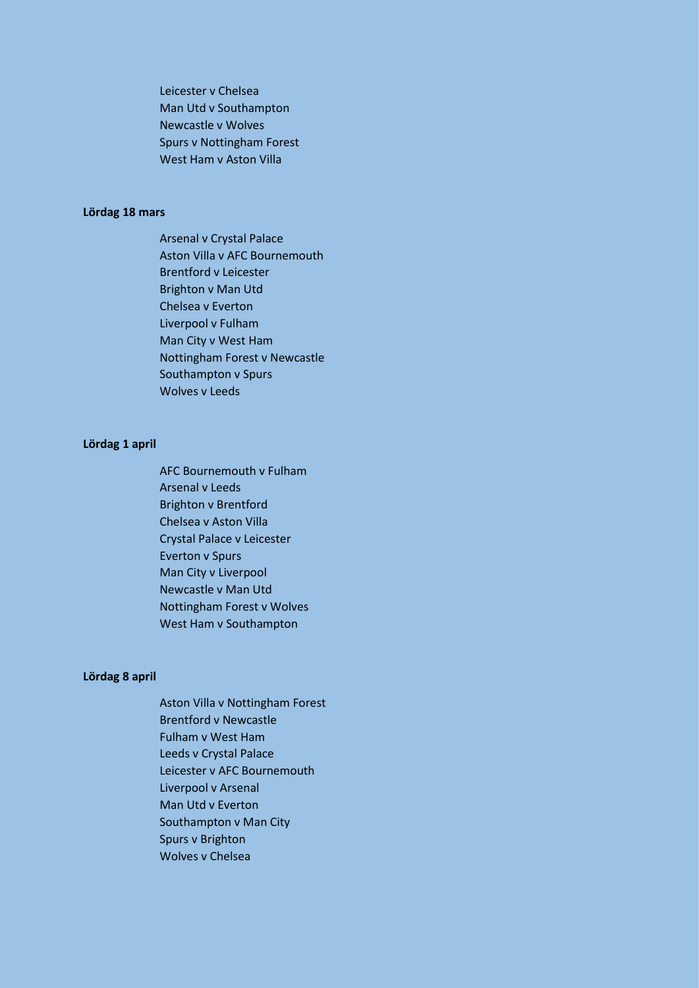Leicester v Chelsea Man Utd v Southampton Newcastle v Wolves Spurs v Nottingham Forest West Ham v Aston Villa

# **Lördag 18 mars**

Arsenal v Crystal Palace Aston Villa v AFC Bournemouth Brentford v Leicester Brighton v Man Utd Chelsea v Everton Liverpool v Fulham Man City v West Ham Nottingham Forest v Newcastle Southampton v Spurs Wolves v Leeds

# **Lördag 1 april**

AFC Bournemouth v Fulham Arsenal v Leeds Brighton v Brentford Chelsea v Aston Villa Crystal Palace v Leicester Everton v Spurs Man City v Liverpool Newcastle v Man Utd Nottingham Forest v Wolves West Ham v Southampton

### **Lördag 8 april**

Aston Villa v Nottingham Forest Brentford v Newcastle Fulham v West Ham Leeds v Crystal Palace Leicester v AFC Bournemouth Liverpool v Arsenal Man Utd v Everton Southampton v Man City Spurs v Brighton Wolves v Chelsea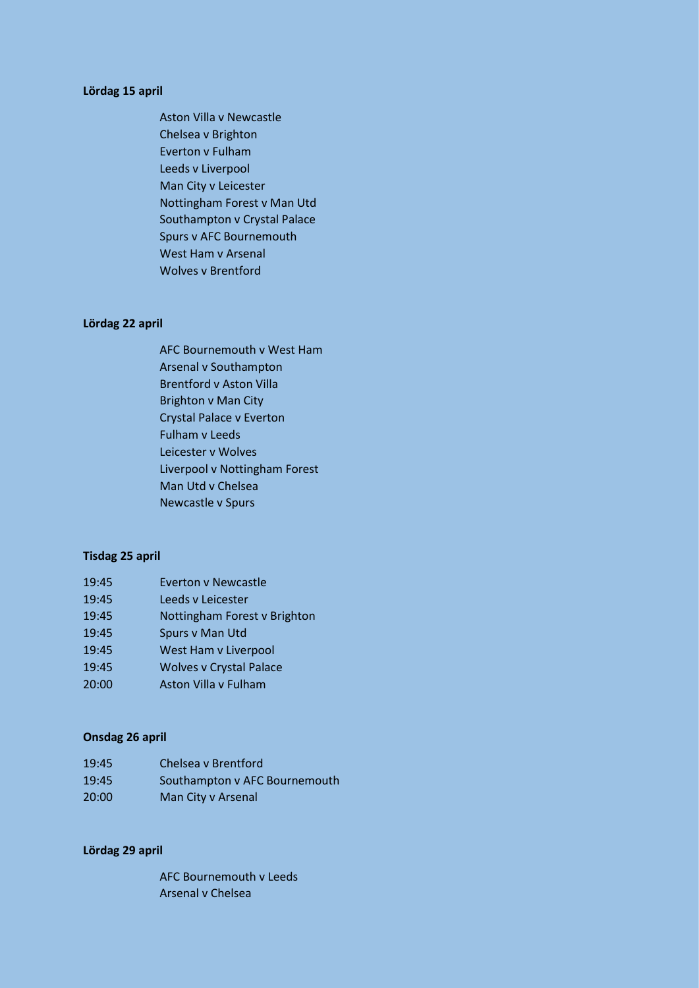### **Lördag 15 april**

Aston Villa v Newcastle Chelsea v Brighton Everton v Fulham Leeds v Liverpool Man City v Leicester Nottingham Forest v Man Utd Southampton v Crystal Palace Spurs v AFC Bournemouth West Ham v Arsenal Wolves v Brentford

#### **Lördag 22 april**

AFC Bournemouth v West Ham Arsenal v Southampton Brentford v Aston Villa Brighton v Man City Crystal Palace v Everton Fulham v Leeds Leicester v Wolves Liverpool v Nottingham Forest Man Utd v Chelsea Newcastle v Spurs

#### **Tisdag 25 april**

- 19:45 Everton v Newcastle
- 19:45 Leeds v Leicester
- 19:45 Nottingham Forest v Brighton
- 19:45 Spurs v Man Utd
- 19:45 West Ham v Liverpool
- 19:45 Wolves v Crystal Palace
- 20:00 Aston Villa v Fulham

# **Onsdag 26 april**

| 19:45 | Chelsea v Brentford           |
|-------|-------------------------------|
| 19:45 | Southampton v AFC Bournemouth |
| 20:00 | Man City v Arsenal            |

### **Lördag 29 april**

AFC Bournemouth v Leeds Arsenal v Chelsea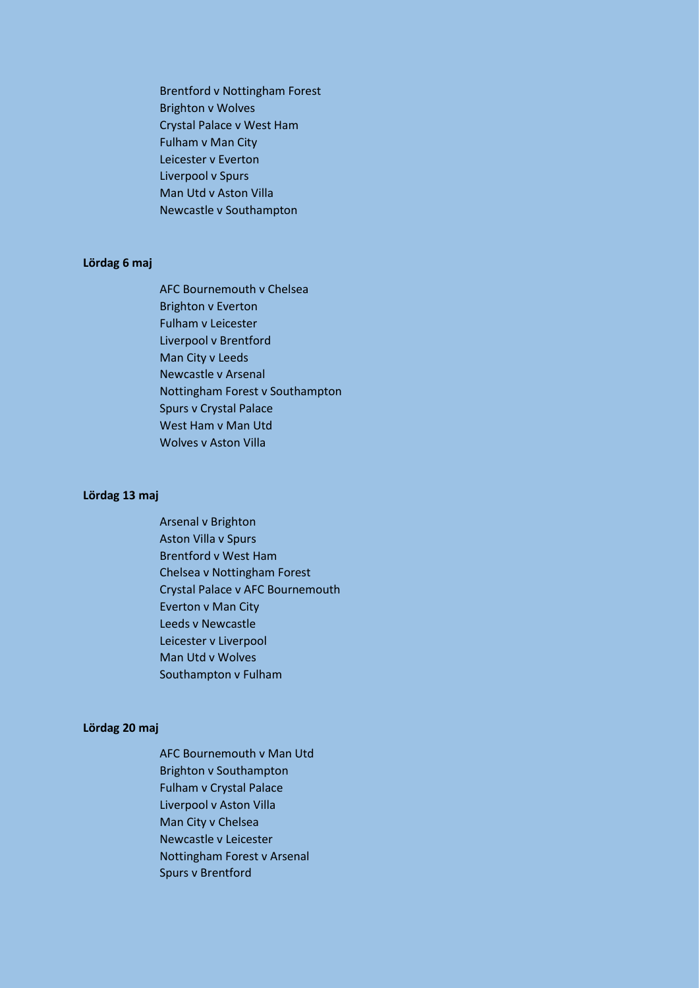Brentford v Nottingham Forest Brighton v Wolves Crystal Palace v West Ham Fulham v Man City Leicester v Everton Liverpool v Spurs Man Utd v Aston Villa Newcastle v Southampton

# **Lördag 6 maj**

AFC Bournemouth v Chelsea Brighton v Everton Fulham v Leicester Liverpool v Brentford Man City v Leeds Newcastle v Arsenal Nottingham Forest v Southampton Spurs v Crystal Palace West Ham v Man Utd Wolves v Aston Villa

### **Lördag 13 maj**

Arsenal v Brighton Aston Villa v Spurs Brentford v West Ham Chelsea v Nottingham Forest Crystal Palace v AFC Bournemouth Everton v Man City Leeds v Newcastle Leicester v Liverpool Man Utd v Wolves Southampton v Fulham

# **Lördag 20 maj**

AFC Bournemouth v Man Utd Brighton v Southampton Fulham v Crystal Palace Liverpool v Aston Villa Man City v Chelsea Newcastle v Leicester Nottingham Forest v Arsenal Spurs v Brentford